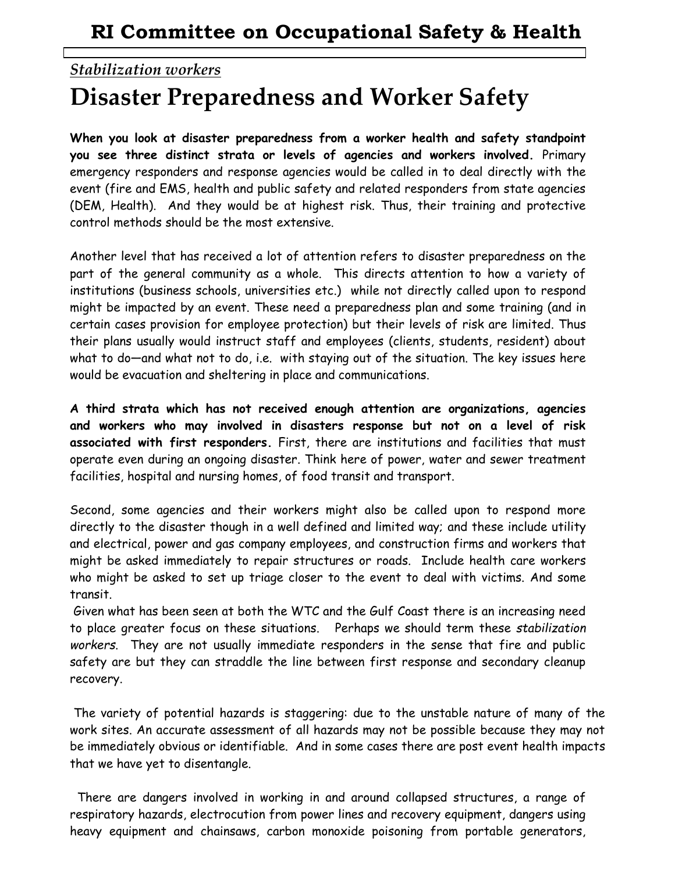## *Stabilization workers* **Disaster Preparedness and Worker Safety**

**When you look at disaster preparedness from a worker health and safety standpoint you see three distinct strata or levels of agencies and workers involved.** Primary emergency responders and response agencies would be called in to deal directly with the event (fire and EMS, health and public safety and related responders from state agencies (DEM, Health). And they would be at highest risk. Thus, their training and protective control methods should be the most extensive.

Another level that has received a lot of attention refers to disaster preparedness on the part of the general community as a whole. This directs attention to how a variety of institutions (business schools, universities etc.) while not directly called upon to respond might be impacted by an event. These need a preparedness plan and some training (and in certain cases provision for employee protection) but their levels of risk are limited. Thus their plans usually would instruct staff and employees (clients, students, resident) about what to do—and what not to do, i.e. with staying out of the situation. The key issues here would be evacuation and sheltering in place and communications.

**A third strata which has not received enough attention are organizations, agencies and workers who may involved in disasters response but not on a level of risk associated with first responders.** First, there are institutions and facilities that must operate even during an ongoing disaster. Think here of power, water and sewer treatment facilities, hospital and nursing homes, of food transit and transport.

Second, some agencies and their workers might also be called upon to respond more directly to the disaster though in a well defined and limited way; and these include utility and electrical, power and gas company employees, and construction firms and workers that might be asked immediately to repair structures or roads. Include health care workers who might be asked to set up triage closer to the event to deal with victims. And some transit.

Given what has been seen at both the WTC and the Gulf Coast there is an increasing need to place greater focus on these situations. Perhaps we should term these *stabilization workers*. They are not usually immediate responders in the sense that fire and public safety are but they can straddle the line between first response and secondary cleanup recovery.

The variety of potential hazards is staggering: due to the unstable nature of many of the work sites. An accurate assessment of all hazards may not be possible because they may not be immediately obvious or identifiable. And in some cases there are post event health impacts that we have yet to disentangle.

There are dangers involved in working in and around collapsed structures, a range of respiratory hazards, electrocution from power lines and recovery equipment, dangers using heavy equipment and chainsaws, carbon monoxide poisoning from portable generators,